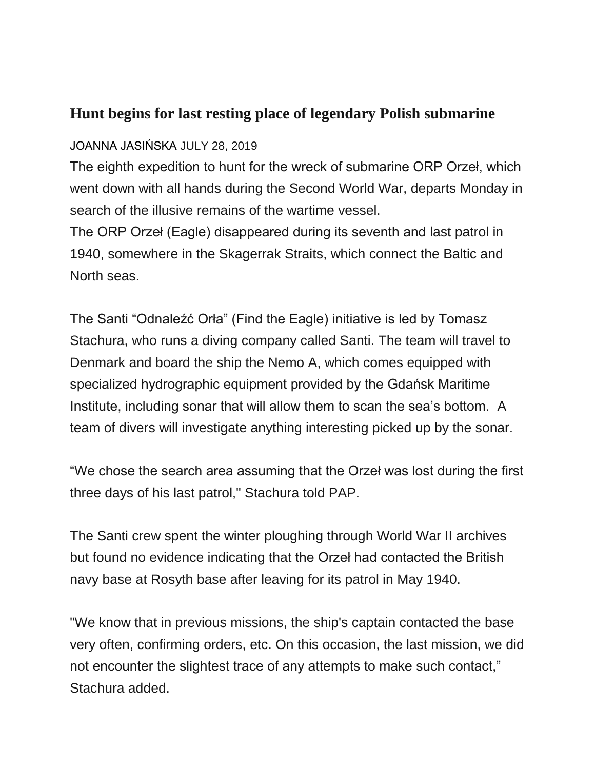## **Hunt begins for last resting place of legendary Polish submarine**

## JOANNA JASIŃSKA JULY 28, 2019

The eighth expedition to hunt for the wreck of submarine ORP Orzeł, which went down with all hands during the Second World War, departs Monday in search of the illusive remains of the wartime vessel.

The ORP Orzeł (Eagle) disappeared during its seventh and last patrol in 1940, somewhere in the Skagerrak Straits, which connect the Baltic and North seas.

The Santi "Odnaleźć Orła" (Find the Eagle) initiative is led by Tomasz Stachura, who runs a diving company called Santi. The team will travel to Denmark and board the ship the Nemo A, which comes equipped with specialized hydrographic equipment provided by the Gdańsk Maritime Institute, including sonar that will allow them to scan the sea's bottom. A team of divers will investigate anything interesting picked up by the sonar.

"We chose the search area assuming that the Orzeł was lost during the first three days of his last patrol," Stachura told PAP.

The Santi crew spent the winter ploughing through World War II archives but found no evidence indicating that the Orzeł had contacted the British navy base at Rosyth base after leaving for its patrol in May 1940.

"We know that in previous missions, the ship's captain contacted the base very often, confirming orders, etc. On this occasion, the last mission, we did not encounter the slightest trace of any attempts to make such contact," Stachura added.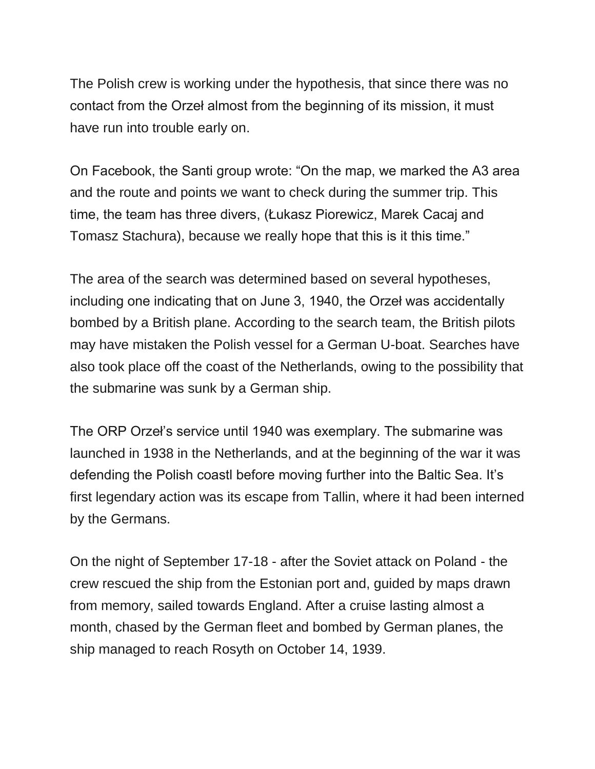The Polish crew is working under the hypothesis, that since there was no contact from the Orzeł almost from the beginning of its mission, it must have run into trouble early on.

On Facebook, the Santi group wrote: "On the map, we marked the A3 area and the route and points we want to check during the summer trip. This time, the team has three divers, (Łukasz Piorewicz, Marek Cacaj and Tomasz Stachura), because we really hope that this is it this time."

The area of the search was determined based on several hypotheses, including one indicating that on June 3, 1940, the Orzeł was accidentally bombed by a British plane. According to the search team, the British pilots may have mistaken the Polish vessel for a German U-boat. Searches have also took place off the coast of the Netherlands, owing to the possibility that the submarine was sunk by a German ship.

The ORP Orzeł's service until 1940 was exemplary. The submarine was launched in 1938 in the Netherlands, and at the beginning of the war it was defending the Polish coastl before moving further into the Baltic Sea. It's first legendary action was its escape from Tallin, where it had been interned by the Germans.

On the night of September 17-18 - after the Soviet attack on Poland - the crew rescued the ship from the Estonian port and, guided by maps drawn from memory, sailed towards England. After a cruise lasting almost a month, chased by the German fleet and bombed by German planes, the ship managed to reach Rosyth on October 14, 1939.